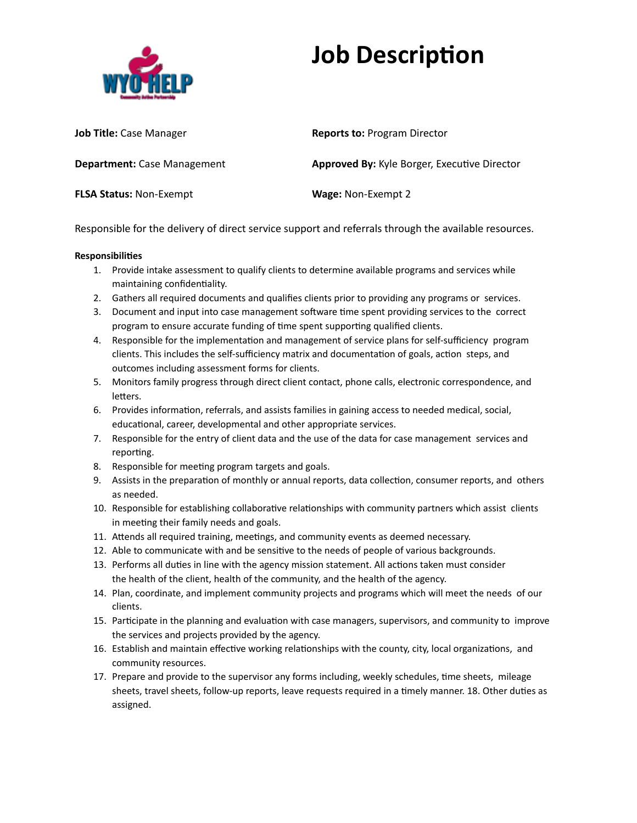

# **Job Description**

| <b>Job Title:</b> Case Manager     | <b>Reports to: Program Director</b>                 |
|------------------------------------|-----------------------------------------------------|
| <b>Department:</b> Case Management | <b>Approved By:</b> Kyle Borger, Executive Director |
| <b>FLSA Status: Non-Exempt</b>     | <b>Wage: Non-Exempt 2</b>                           |

Responsible for the delivery of direct service support and referrals through the available resources.

### **Responsibilies**

- 1. Provide intake assessment to qualify clients to determine available programs and services while maintaining confidentiality.
- 2. Gathers all required documents and qualifies clients prior to providing any programs or services.
- 3. Document and input into case management software time spent providing services to the correct program to ensure accurate funding of time spent supporting qualified clients.
- 4. Responsible for the implementation and management of service plans for self-sufficiency program clients. This includes the self-sufficiency matrix and documentation of goals, action steps, and outcomes including assessment forms for clients.
- 5. Monitors family progress through direct client contact, phone calls, electronic correspondence, and letters.
- 6. Provides information, referrals, and assists families in gaining access to needed medical, social, educational, career, developmental and other appropriate services.
- 7. Responsible for the entry of client data and the use of the data for case management services and reporting.
- 8. Responsible for meeting program targets and goals.
- 9. Assists in the preparation of monthly or annual reports, data collection, consumer reports, and others as needed.
- 10. Responsible for establishing collaborative relationships with community partners which assist clients in meeting their family needs and goals.
- 11. Attends all required training, meetings, and community events as deemed necessary.
- 12. Able to communicate with and be sensitive to the needs of people of various backgrounds.
- 13. Performs all duties in line with the agency mission statement. All actions taken must consider the health of the client, health of the community, and the health of the agency.
- 14. Plan, coordinate, and implement community projects and programs which will meet the needs of our clients.
- 15. Participate in the planning and evaluation with case managers, supervisors, and community to improve the services and projects provided by the agency.
- 16. Establish and maintain effective working relationships with the county, city, local organizations, and community resources.
- 17. Prepare and provide to the supervisor any forms including, weekly schedules, time sheets, mileage sheets, travel sheets, follow-up reports, leave requests required in a timely manner. 18. Other duties as assigned.